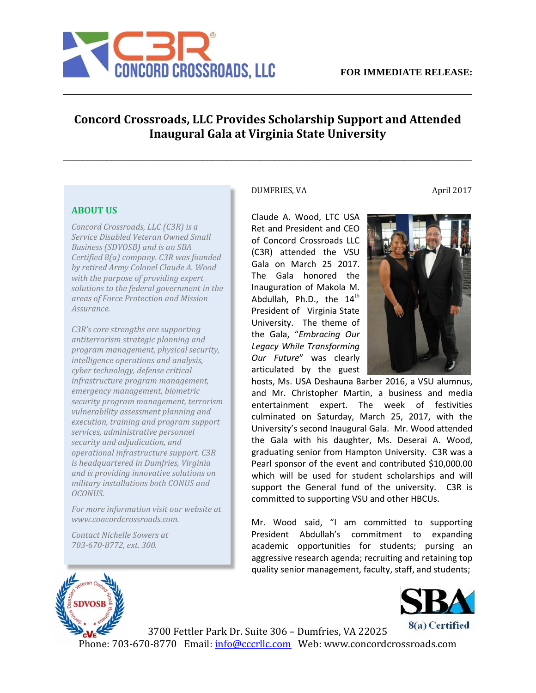

## **Concord Crossroads, LLC Provides Scholarship Support and Attended Inaugural Gala at Virginia State University**

**\_\_\_\_\_\_\_\_\_\_\_\_\_\_\_\_\_\_\_\_\_\_\_\_\_\_\_\_\_\_\_\_\_\_\_\_\_\_\_\_\_\_\_\_\_\_\_\_\_\_\_\_\_\_\_\_\_\_\_\_\_\_\_\_\_\_\_\_\_\_\_\_\_\_\_\_\_\_\_\_\_\_\_\_\_**

**\_\_\_\_\_\_\_\_\_\_\_\_\_\_\_\_\_\_\_\_\_\_\_\_\_\_\_\_\_\_\_\_\_\_\_\_\_\_\_\_\_\_\_\_\_\_\_\_\_\_\_\_\_\_\_\_\_\_\_\_\_\_\_\_\_\_\_\_\_\_\_\_\_\_\_\_\_\_\_\_\_\_\_\_\_**

## **ABOUT US**

*Concord Crossroads, LLC (C3R) is a Service Disabled Veteran Owned Small Business (SDVOSB) and is an SBA Certified 8(a) company. C3R was founded by retired Army Colonel Claude A. Wood with the purpose of providing expert solutions to the federal government in the areas of Force Protection and Mission Assurance.* 

*C3R's core strengths are supporting antiterrorism strategic planning and program management, physical security, intelligence operations and analysis, cyber technology, defense critical infrastructure program management, emergency management, biometric security program management, terrorism vulnerability assessment planning and execution, training and program support services, administrative personnel security and adjudication, and operational infrastructure support. C3R is headquartered in Dumfries, Virginia and is providing innovative solutions on military installations both CONUS and OCONUS.* 

*For more information visit our website at www.concordcrossroads.com.* 

*Contact Nichelle Sowers at 703-670-8772, ext. 300.*

## DUMFRIES, VA April 2017

Claude A. Wood, LTC USA Ret and President and CEO of Concord Crossroads LLC (C3R) attended the VSU Gala on March 25 2017. The Gala honored the Inauguration of Makola M. Abdullah, Ph.D., the  $14<sup>th</sup>$ President of Virginia State University. The theme of the Gala, "*Embracing Our Legacy While Transforming Our Future*" was clearly articulated by the guest



hosts, Ms. USA Deshauna Barber 2016, a VSU alumnus, and Mr. Christopher Martin, a business and media entertainment expert. The week of festivities culminated on Saturday, March 25, 2017, with the University's second Inaugural Gala. Mr. Wood attended the Gala with his daughter, Ms. Deserai A. Wood, graduating senior from Hampton University. C3R was a Pearl sponsor of the event and contributed \$10,000.00 which will be used for student scholarships and will support the General fund of the university. C3R is committed to supporting VSU and other HBCUs.

Mr. Wood said, "I am committed to supporting President Abdullah's commitment to expanding academic opportunities for students; pursing an aggressive research agenda; recruiting and retaining top quality senior management, faculty, staff, and students;





3700 Fettler Park Dr. Suite 306 – Dumfries, VA 22025 Phone: 703-670-8770 Email: info@cccrllc.com Web: www.concordcrossroads.com